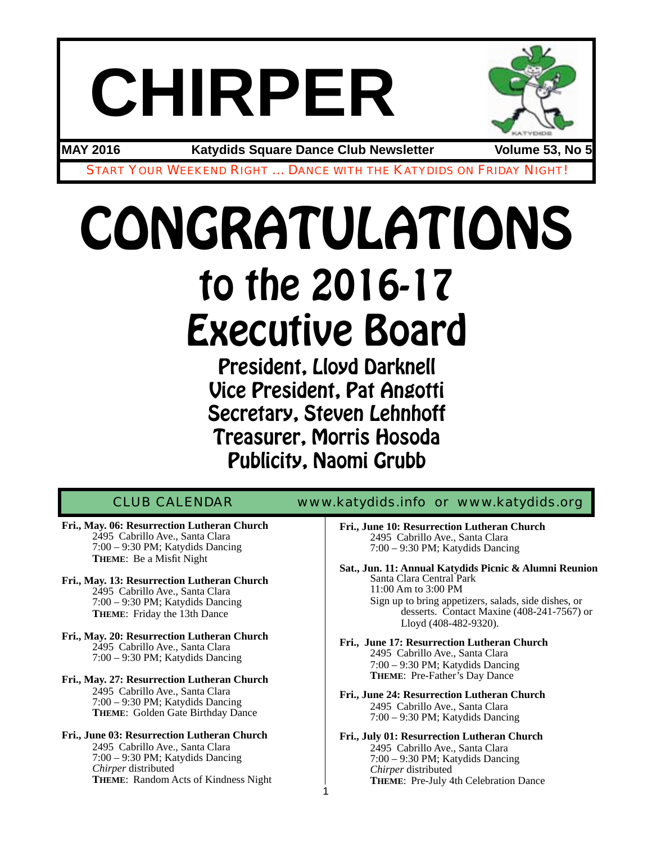# **CHIRPER**



**MAY 2016 Katydids Square Dance Club Newsletter Volume 53, No 5**

START YOUR WEEKEND RIGHT … DANCE WITH THE KATYDIDS ON FRIDAY NIGHT!

## CONGRATULATIONS to the 2016-17 Executive Board

President, Lloyd Darknell Vice President, Pat Angotti Secretary, Steven Lehnhoff Treasurer, Morris Hosoda Publicity, Naomi Grubb

1

CLUB CALENDAR [www.katydids.info](http://www.katydids.info) or www.katydids.org

- **Fri., May. 06: Resurrection Lutheran Church** 2495 Cabrillo Ave., Santa Clara 7:00 – 9:30 PM; Katydids Dancing **THEME**: Be a Misfit Night
- **Fri., May. 13: Resurrection Lutheran Church** 2495 Cabrillo Ave., Santa Clara 7:00 – 9:30 PM; Katydids Dancing **THEME**: Friday the 13th Dance
- **Fri., May. 20: Resurrection Lutheran Church** 2495 Cabrillo Ave., Santa Clara 7:00 – 9:30 PM; Katydids Dancing
- **Fri., May. 27: Resurrection Lutheran Church** 2495 Cabrillo Ave., Santa Clara 7:00 – 9:30 PM; Katydids Dancing **THEME**: Golden Gate Birthday Dance
- **Fri., June 03: Resurrection Lutheran Church** 2495 Cabrillo Ave., Santa Clara 7:00 – 9:30 PM; Katydids Dancing *Chirper* distributed **THEME**: Random Acts of Kindness Night
- **Fri., June 10: Resurrection Lutheran Church** 2495 Cabrillo Ave., Santa Clara 7:00 – 9:30 PM; Katydids Dancing
- **Sat., Jun. 11: Annual Katydids Picnic & Alumni Reunion** Santa Clara Central Park 11:00 Am to 3:00 PM Sign up to bring appetizers, salads, side dishes, or desserts. Contact Maxine (408-241-7567) or Lloyd (408-482-9320).
- **Fri., June 17: Resurrection Lutheran Church** 2495 Cabrillo Ave., Santa Clara 7:00 – 9:30 PM; Katydids Dancing **THEME**: Pre-Father's Day Dance
- **Fri., June 24: Resurrection Lutheran Church** 2495 Cabrillo Ave., Santa Clara 7:00 – 9:30 PM; Katydids Dancing
- **Fri., July 01: Resurrection Lutheran Church** 2495 Cabrillo Ave., Santa Clara 7:00 – 9:30 PM; Katydids Dancing *Chirper* distributed **THEME**: Pre-July 4th Celebration Dance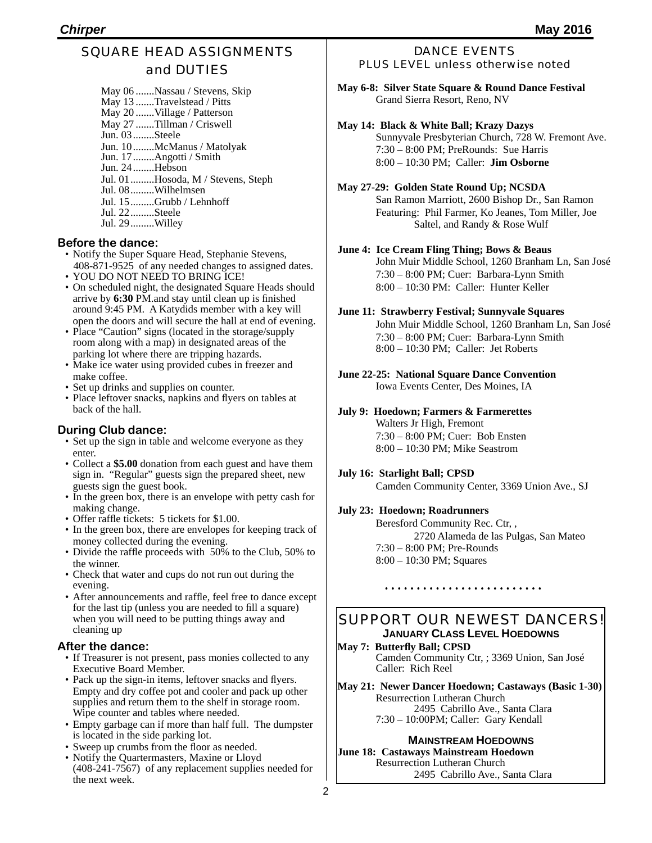#### SQUARE HEAD ASSIGNMENTS and DUTIES

May 06 .......Nassau / Stevens, Skip May 13 .......Travelstead / Pitts May 20 .......Village / Patterson May 27 .......Tillman / Criswell Jun. 03........Steele Jun. 10........McManus / Matolyak Jun. 17........Angotti / Smith Jun. 24........Hebson Jul. 01.........Hosoda, M / Stevens, Steph Jul. 08.........Wilhelmsen Jul. 15.........Grubb / Lehnhoff Jul. 22.........Steele Jul. 29.........Willey

#### **Before the dance:**

- Notify the Super Square Head, Stephanie Stevens, 408-871-9525 of any needed changes to assigned dates.
- YOU DO NOT NEED TO BRING ICE!
- On scheduled night, the designated Square Heads should arrive by **6:30** PM.and stay until clean up is finished around 9:45 PM. A Katydids member with a key will open the doors and will secure the hall at end of evening.
- Place "Caution" signs (located in the storage/supply room along with a map) in designated areas of the parking lot where there are tripping hazards.
- Make ice water using provided cubes in freezer and make coffee.
- Set up drinks and supplies on counter.
- Place leftover snacks, napkins and flyers on tables at back of the hall.

#### **During Club dance:**

- Set up the sign in table and welcome everyone as they enter.
- Collect a **\$5.00** donation from each guest and have them sign in. "Regular" guests sign the prepared sheet, new guests sign the guest book.
- In the green box, there is an envelope with petty cash for making change.
- Offer raffle tickets: 5 tickets for \$1.00.
- In the green box, there are envelopes for keeping track of money collected during the evening.
- Divide the raffle proceeds with 50% to the Club, 50% to the winner.
- Check that water and cups do not run out during the evening.
- After announcements and raffle, feel free to dance except for the last tip (unless you are needed to fill a square) when you will need to be putting things away and cleaning up

#### **After the dance:**

- If Treasurer is not present, pass monies collected to any Executive Board Member.
- Pack up the sign-in items, leftover snacks and flyers. Empty and dry coffee pot and cooler and pack up other supplies and return them to the shelf in storage room. Wipe counter and tables where needed.
- Empty garbage can if more than half full. The dumpster is located in the side parking lot.
- Sweep up crumbs from the floor as needed.
- Notify the Quartermasters, Maxine or Lloyd  $(408-241-7567)$  of any replacement supplies needed for the next week.

#### DANCE EVENTS PLUS LEVEL unless otherwise noted

**May 6-8: Silver State Square & Round Dance Festival** Grand Sierra Resort, Reno, NV

#### **May 14: Black & White Ball; Krazy Dazys**

Sunnyvale Presbyterian Church, 728 W. Fremont Ave. 7:30 – 8:00 PM; PreRounds: Sue Harris 8:00 – 10:30 PM; Caller: **Jim Osborne**

#### **May 27-29: Golden State Round Up; NCSDA**

San Ramon Marriott, 2600 Bishop Dr., San Ramon Featuring: Phil Farmer, Ko Jeanes, Tom Miller, Joe Saltel, and Randy & Rose Wulf

#### **June 4: Ice Cream Fling Thing; Bows & Beaus**

John Muir Middle School, 1260 Branham Ln, San José 7:30 – 8:00 PM; Cuer: Barbara-Lynn Smith 8:00 – 10:30 PM: Caller: Hunter Keller

#### **June 11: Strawberry Festival; Sunnyvale Squares**

John Muir Middle School, 1260 Branham Ln, San José 7:30 – 8:00 PM; Cuer: Barbara-Lynn Smith 8:00 – 10:30 PM; Caller: Jet Roberts

#### **June 22-25: National Square Dance Convention** Iowa Events Center, Des Moines, IA

#### **July 9: Hoedown; Farmers & Farmerettes**

Walters Jr High, Fremont 7:30 – 8:00 PM; Cuer: Bob Ensten 8:00 – 10:30 PM; Mike Seastrom

#### **July 16: Starlight Ball; CPSD** Camden Community Center, 3369 Union Ave., SJ

#### **July 23: Hoedown; Roadrunners**

Beresford Community Rec. Ctr, , 2720 Alameda de las Pulgas, San Mateo 7:30 – 8:00 PM; Pre-Rounds 8:00 – 10:30 PM; Squares

#### SUPPORT OUR NEWEST DANCERS! **JANUARY CLASS LEVEL HOEDOWNS**

**May 7: Butterfly Ball; CPSD** Camden Community Ctr, ; 3369 Union, San José Caller: Rich Reel

**May 21: Newer Dancer Hoedown; Castaways (Basic 1-30)** Resurrection Lutheran Church 2495 Cabrillo Ave., Santa Clara 7:30 – 10:00PM; Caller: Gary Kendall

#### **MAINSTREAM HOEDOWNS**

**June 18: Castaways Mainstream Hoedown** Resurrection Lutheran Church 2495 Cabrillo Ave., Santa Clara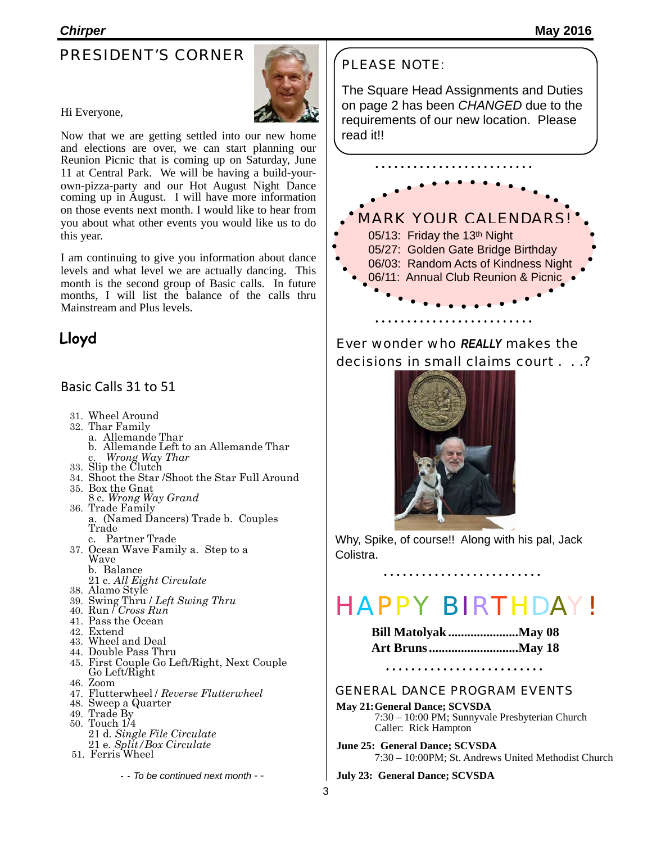#### PRESIDENT'S CORNER



#### Hi Everyone,

Now that we are getting settled into our new home and elections are over, we can start planning our Reunion Picnic that is coming up on Saturday, June 11 at Central Park. We will be having a build-yourown-pizza-party and our Hot August Night Dance coming up in August. I will have more information on those events next month. I would like to hear from you about what other events you would like us to do this year.

I am continuing to give you information about dance levels and what level we are actually dancing. This month is the second group of Basic calls. In future months, I will list the balance of the calls thru Mainstream and Plus levels.

#### **Lloyd**

#### Basic Calls 31 to 51

- 31. Wheel Around
- 32. Thar Family
- a. Allemande Thar
	- b. Allemande Left to an Allemande Thar c. *Wrong Way Thar*
- 33. Slip the Clutch
- 34. Shoot the Star /Shoot the Star Full Around
- 35. Box the Gnat
- 8 c*. Wrong Way Grand* 36. Trade Family
- a. (Named Dancers) Trade b. Couples Trade c. Partner Trade
- 37. Ocean Wave Family a. Step to a Wave
	- b. Balance
	- 21 c. *All Eight Circulate*
- 38. Alamo Style
- 39. Swing Thru / *Left Swing Thru*
- 40. Run / *Cross Run*
- 41. Pass the Ocean
- 42. Extend
- 43. Wheel and Deal
- 44. Double Pass Thru
- 45. First Couple Go Left/Right, Next Couple Go Left/Right
- 46. Zoom
- 47. Flutterwheel / *Reverse Flutterwheel*
- 48. Sweep a Quarter
- 49. Trade By
- 50. Touch 1/4 21 d*. Single File Circulate* 21 e*. Split/Box Circulate*
- 51. Ferris Wheel

- - To be continued next month - -

#### PLEASE NOTE:

The Square Head Assignments and Duties on page 2 has been *CHANGED* due to the requirements of our new location. Please read it!!



Ever wonder who *REALLY* makes the decisions in small claims court . . .?



Why, Spike, of course!! Along with his pal, Jack Colistra.

## HAPPY BIRTHDAY!

| <b>Bill Matolyak May 08</b> |  |
|-----------------------------|--|
| <b>Art Bruns May 18</b>     |  |

#### GENERAL DANCE PROGRAM EVENTS

- **May 21:General Dance; SCVSDA** 7:30 – 10:00 PM; Sunnyvale Presbyterian Church Caller: Rick Hampton
- **June 25: General Dance; SCVSDA** 7:30 – 10:00PM; St. Andrews United Methodist Church

**July 23: General Dance; SCVSDA**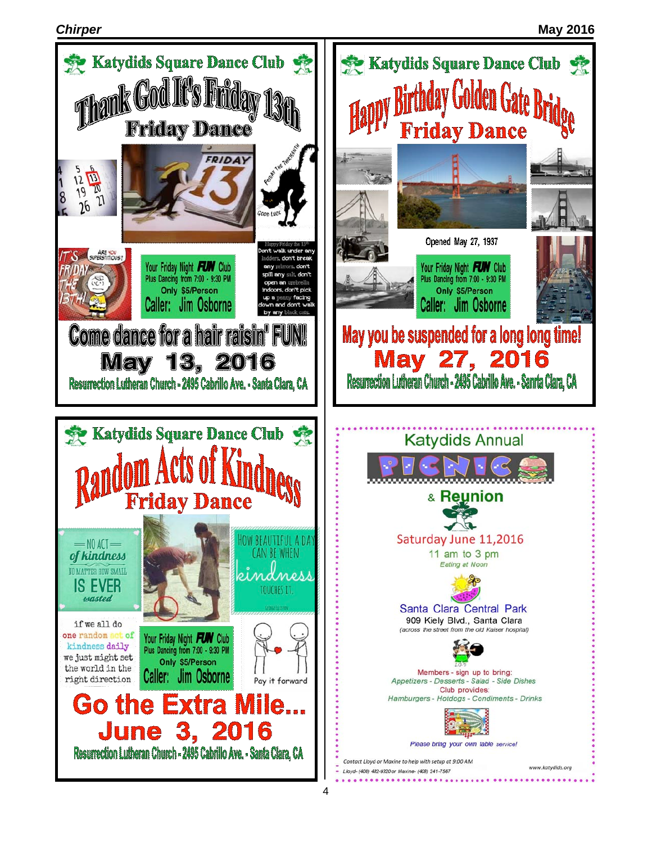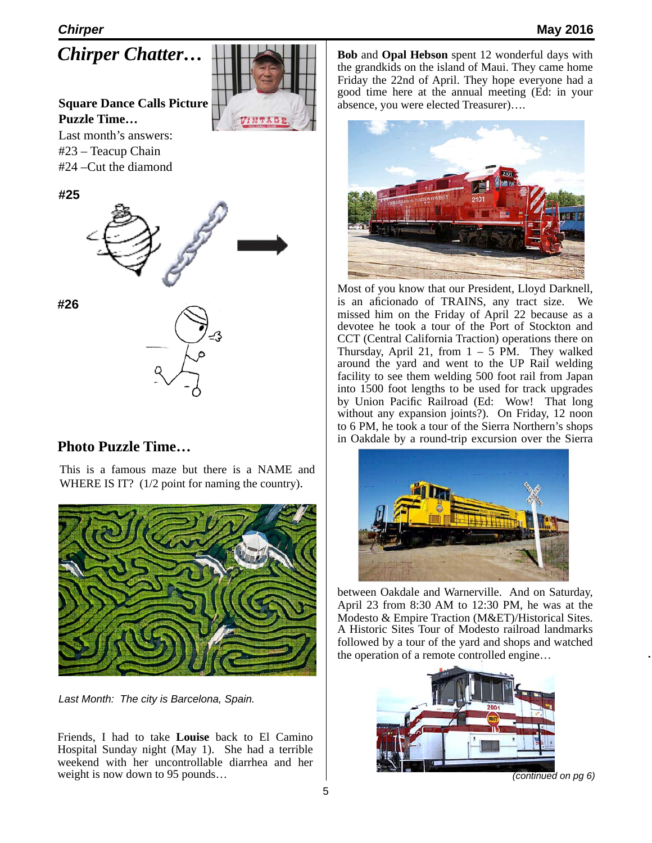*Chirper Chatter…*

**Square Dance Calls Picture Puzzle Time…** Last month's answers:

#23 – Teacup Chain #24 –Cut the diamond





**#26**

#### **Photo Puzzle Time…**

This is a famous maze but there is a NAME and WHERE IS IT? (1/2 point for naming the country).



*Last Month: The city is Barcelona, Spain.*

Friends, I had to take **Louise** back to El Camino Hospital Sunday night (May 1). She had a terrible weekend with her uncontrollable diarrhea and her weight is now down to 95 pounds...

**Bob** and **Opal Hebson** spent 12 wonderful days with the grandkids on the island of Maui. They came home Friday the 22nd of April. They hope everyone had a good time here at the annual meeting (Ed: in your absence, you were elected Treasurer)….



Most of you know that our President, Lloyd Darknell, is an aficionado of TRAINS, any tract size. We missed him on the Friday of April 22 because as a devotee he took a tour of the Port of Stockton and CCT (Central California Traction) operations there on Thursday, April 21, from  $1 - 5$  PM. They walked around the yard and went to the UP Rail welding facility to see them welding 500 foot rail from Japan into 1500 foot lengths to be used for track upgrades by Union Pacific Railroad (Ed: Wow! That long without any expansion joints?). On Friday, 12 noon to 6 PM, he took a tour of the Sierra Northern's shops in Oakdale by a round-trip excursion over the Sierra



between Oakdale and Warnerville. And on Saturday, April 23 from 8:30 AM to 12:30 PM, he was at the Modesto & Empire Traction (M&ET)/Historical Sites. A Historic Sites Tour of Modesto railroad landmarks followed by a tour of the yard and shops and watched the operation of a remote controlled engine…



*(continued on pg 6)*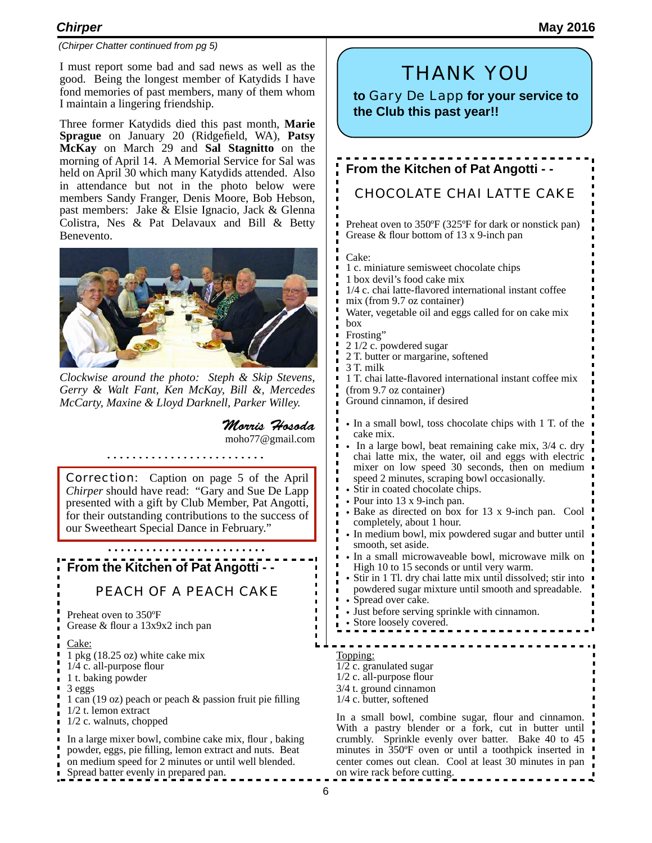#### *(Chirper Chatter continued from pg 5)*

I must report some bad and sad news as well as the good. Being the longest member of Katydids I have fond memories of past members, many of them whom I maintain a lingering friendship.

Three former Katydids died this past month, **Marie Sprague** on January 20 (Ridgefield, WA), **Patsy McKay** on March 29 and **Sal Stagnitto** on the morning of April 14. A Memorial Service for Sal was held on April 30 which many Katydids attended. Also in attendance but not in the photo below were members Sandy Franger, Denis Moore, Bob Hebson, past members: Jake & Elsie Ignacio, Jack & Glenna Colistra, Nes & Pat Delavaux and Bill & Betty Benevento.



*Clockwise around the photo: Steph & Skip Stevens, Gerry & Walt Fant, Ken McKay, Bill &, Mercedes McCarty, Maxine & Lloyd Darknell, Parker Willey.*

*Morris Hosoda* [moho77@gmail.com](mailto:moho77@gmail.com)

**Correction:** Caption on page 5 of the April *Chirper* should have read: "Gary and Sue De Lapp presented with a gift by Club Member, Pat Angotti, for their outstanding contributions to the success of our Sweetheart Special Dance in February."

#### **From the Kitchen of Pat Angotti - -**

#### PEACH OF A PEACH CAKE

Preheat oven to 350ºF Grease & flour a 13x9x2 inch pan

#### Cake:

- 1 pkg (18.25 oz) white cake mix
- 1/4 c. all-purpose flour
- 1 t. baking powder
- 3 eggs
- 1 can (19 oz) peach or peach & passion fruit pie filling
- 1/2 t. lemon extract
- 1/2 c. walnuts, chopped

In a large mixer bowl, combine cake mix, flour , baking powder, eggs, pie filling, lemon extract and nuts. Beat on medium speed for 2 minutes or until well blended. Spread batter evenly in prepared pan.

#### THANK YOU

**to** Gary De Lapp **for your service to the Club this past year!!**

### **From the Kitchen of Pat Angotti - -**

#### CHOCOLATE CHAI LATTE CAKE

Preheat oven to 350ºF (325ºF for dark or nonstick pan) Grease & flour bottom of 13 x 9-inch pan

Cake:

- 1 c. miniature semisweet chocolate chips
- 1 box devil's food cake mix
- 1/4 c. chai latte-flavored international instant coffee mix (from 9.7 oz container)
- 
- Water, vegetable oil and eggs called for on cake mix box
- Frosting"
- 2 1/2 c. powdered sugar
- 2 T. butter or margarine, softened
- 3 T. milk

 $\blacksquare$ 

Г  $\blacksquare$  1 T. chai latte-flavored international instant coffee mix (from 9.7 oz container)

Ground cinnamon, if desired

- In a small bowl, toss chocolate chips with 1 T. of the cake mix.
- In a large bowl, beat remaining cake mix, 3/4 c. dry chai latte mix, the water, oil and eggs with electric mixer on low speed 30 seconds, then on medium speed 2 minutes, scraping bowl occasionally.
- Stir in coated chocolate chips.
- Pour into 13 x 9-inch pan.
- Bake as directed on box for 13 x 9-inch pan. Cool completely, about 1 hour.
- In medium bowl, mix powdered sugar and butter until smooth, set aside.
- In a small microwaveable bowl, microwave milk on High 10 to 15 seconds or until very warm.
- Stir in 1 Tl. dry chai latte mix until dissolved; stir into powdered sugar mixture until smooth and spreadable.
- Spread over cake.
- Just before serving sprinkle with cinnamon.
- Store loosely covered.

Topping:

- 1/2 c. granulated sugar 1/2 c. all-purpose flour
- 3/4 t. ground cinnamon
- 1/4 c. butter, softened

In a small bowl, combine sugar, flour and cinnamon. With a pastry blender or a fork, cut in butter until crumbly. Sprinkle evenly over batter. Bake 40 to 45 minutes in 350ºF oven or until a toothpick inserted in center comes out clean. Cool at least 30 minutes in pan on wire rack before cutting.